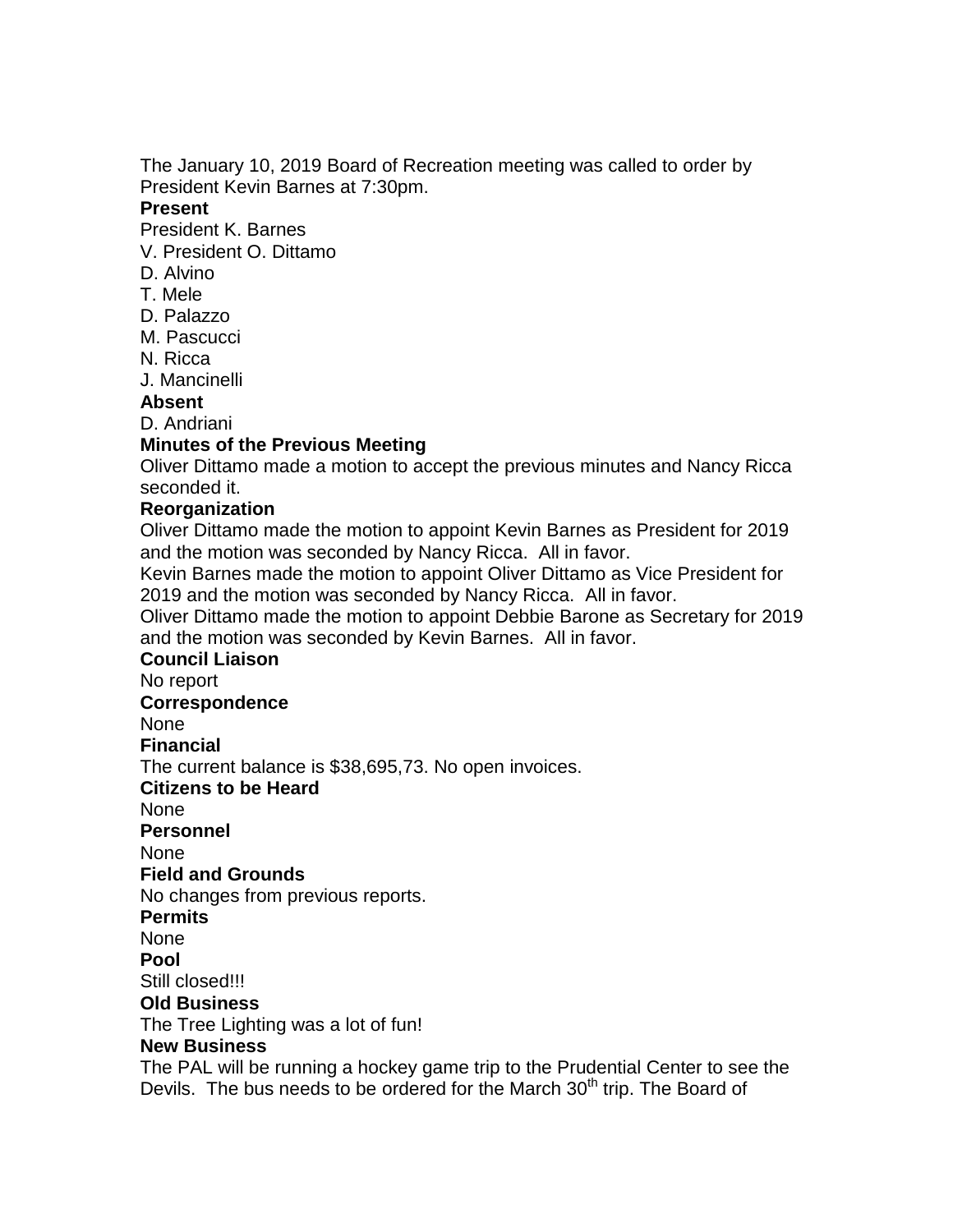The January 10, 2019 Board of Recreation meeting was called to order by President Kevin Barnes at 7:30pm.

#### **Present**

President K. Barnes

- V. President O. Dittamo
- D. Alvino
- T. Mele
- D. Palazzo
- M. Pascucci
- N. Ricca
- J. Mancinelli

## **Absent**

D. Andriani

## **Minutes of the Previous Meeting**

Oliver Dittamo made a motion to accept the previous minutes and Nancy Ricca seconded it.

## **Reorganization**

Oliver Dittamo made the motion to appoint Kevin Barnes as President for 2019 and the motion was seconded by Nancy Ricca. All in favor.

Kevin Barnes made the motion to appoint Oliver Dittamo as Vice President for 2019 and the motion was seconded by Nancy Ricca. All in favor.

Oliver Dittamo made the motion to appoint Debbie Barone as Secretary for 2019 and the motion was seconded by Kevin Barnes. All in favor.

#### **Council Liaison**

No report

#### **Correspondence**

None

**Financial**

The current balance is \$38,695,73. No open invoices.

**Citizens to be Heard**

None

**Personnel**

None

## **Field and Grounds**

No changes from previous reports.

**Permits**

None

**Pool**

Still closed!!!

# **Old Business**

The Tree Lighting was a lot of fun!

#### **New Business**

The PAL will be running a hockey game trip to the Prudential Center to see the Devils. The bus needs to be ordered for the March  $30<sup>th</sup>$  trip. The Board of